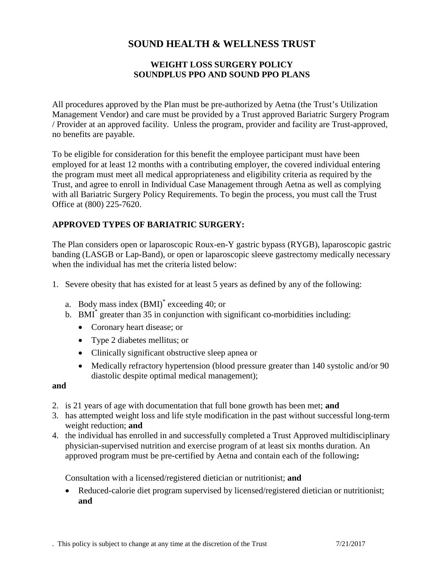# **SOUND HEALTH & WELLNESS TRUST**

# **WEIGHT LOSS SURGERY POLICY SOUNDPLUS PPO AND SOUND PPO PLANS**

All procedures approved by the Plan must be pre-authorized by Aetna (the Trust's Utilization Management Vendor) and care must be provided by a Trust approved Bariatric Surgery Program / Provider at an approved facility. Unless the program, provider and facility are Trust-approved, no benefits are payable.

To be eligible for consideration for this benefit the employee participant must have been employed for at least 12 months with a contributing employer, the covered individual entering the program must meet all medical appropriateness and eligibility criteria as required by the Trust, and agree to enroll in Individual Case Management through Aetna as well as complying with all Bariatric Surgery Policy Requirements. To begin the process, you must call the Trust Office at (800) 225-7620.

# **APPROVED TYPES OF BARIATRIC SURGERY:**

The Plan considers open or laparoscopic Roux-en-Y gastric bypass (RYGB), laparoscopic gastric banding (LASGB or Lap-Band), or open or laparoscopic sleeve gastrectomy medically necessary when the individual has met the criteria listed below:

- 1. Severe obesity that has existed for at least 5 years as defined by any of the following:
	- a. Body mass index (BMI)\* exceeding 40; or
	- b. BMI<sup>\*</sup> greater than 35 in conjunction with significant co-morbidities including:
		- Coronary heart disease; or
		- Type 2 diabetes mellitus; or
		- Clinically significant obstructive sleep apnea or
		- Medically refractory hypertension (blood pressure greater than 140 systolic and/or 90 diastolic despite optimal medical management);

#### **and**

- 2. is 21 years of age with documentation that full bone growth has been met; **and**
- 3. has attempted weight loss and life style modification in the past without successful long-term weight reduction; **and**
- 4. the individual has enrolled in and successfully completed a Trust Approved multidisciplinary physician-supervised nutrition and exercise program of at least six months duration. An approved program must be pre-certified by Aetna and contain each of the following**:**

Consultation with a licensed/registered dietician or nutritionist; **and**

• Reduced-calorie diet program supervised by licensed/registered dietician or nutritionist; **and**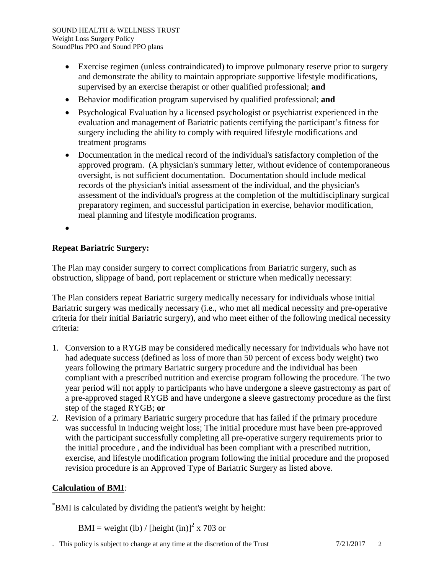- Exercise regimen (unless contraindicated) to improve pulmonary reserve prior to surgery and demonstrate the ability to maintain appropriate supportive lifestyle modifications, supervised by an exercise therapist or other qualified professional; **and**
- Behavior modification program supervised by qualified professional; **and**
- Psychological Evaluation by a licensed psychologist or psychiatrist experienced in the evaluation and management of Bariatric patients certifying the participant's fitness for surgery including the ability to comply with required lifestyle modifications and treatment programs
- Documentation in the medical record of the individual's satisfactory completion of the approved program. (A physician's summary letter, without evidence of contemporaneous oversight, is not sufficient documentation. Documentation should include medical records of the physician's initial assessment of the individual, and the physician's assessment of the individual's progress at the completion of the multidisciplinary surgical preparatory regimen, and successful participation in exercise, behavior modification, meal planning and lifestyle modification programs.
- •

# **Repeat Bariatric Surgery:**

The Plan may consider surgery to correct complications from Bariatric surgery, such as obstruction, slippage of band, port replacement or stricture when medically necessary:

The Plan considers repeat Bariatric surgery medically necessary for individuals whose initial Bariatric surgery was medically necessary (i.e., who met all medical necessity and pre-operative criteria for their initial Bariatric surgery), and who meet either of the following medical necessity criteria:

- 1. Conversion to a RYGB may be considered medically necessary for individuals who have not had adequate success (defined as loss of more than 50 percent of excess body weight) two years following the primary Bariatric surgery procedure and the individual has been compliant with a prescribed nutrition and exercise program following the procedure. The two year period will not apply to participants who have undergone a sleeve gastrectomy as part of a pre-approved staged RYGB and have undergone a sleeve gastrectomy procedure as the first step of the staged RYGB; **or**
- 2. Revision of a primary Bariatric surgery procedure that has failed if the primary procedure was successful in inducing weight loss; The initial procedure must have been pre-approved with the participant successfully completing all pre-operative surgery requirements prior to the initial procedure , and the individual has been compliant with a prescribed nutrition, exercise, and lifestyle modification program following the initial procedure and the proposed revision procedure is an Approved Type of Bariatric Surgery as listed above.

# **Calculation of BMI***:*

\* BMI is calculated by dividing the patient's weight by height:

BMI = weight (lb) / [height (in)]<sup>2</sup> x 703 or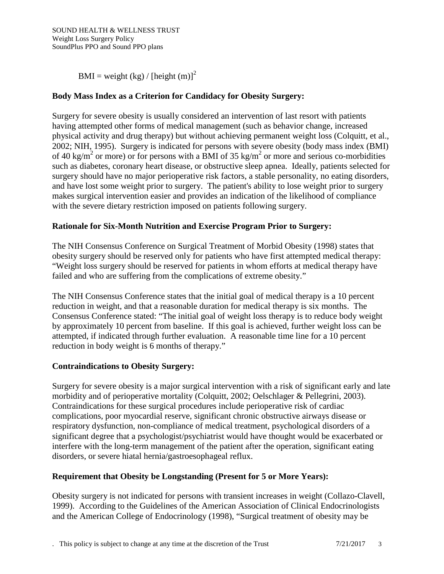BMI = weight (kg) / [height (m)]<sup>2</sup>

# **Body Mass Index as a Criterion for Candidacy for Obesity Surgery:**

Surgery for severe obesity is usually considered an intervention of last resort with patients having attempted other forms of medical management (such as behavior change, increased physical activity and drug therapy) but without achieving permanent weight loss (Colquitt, et al., 2002; NIH, 1995). Surgery is indicated for persons with severe obesity (body mass index (BMI) of 40 kg/m<sup>2</sup> or more) or for persons with a BMI of 35 kg/m<sup>2</sup> or more and serious co-morbidities such as diabetes, coronary heart disease, or obstructive sleep apnea. Ideally, patients selected for surgery should have no major perioperative risk factors, a stable personality, no eating disorders, and have lost some weight prior to surgery. The patient's ability to lose weight prior to surgery makes surgical intervention easier and provides an indication of the likelihood of compliance with the severe dietary restriction imposed on patients following surgery.

### **Rationale for Six-Month Nutrition and Exercise Program Prior to Surgery:**

The NIH Consensus Conference on Surgical Treatment of Morbid Obesity (1998) states that obesity surgery should be reserved only for patients who have first attempted medical therapy: "Weight loss surgery should be reserved for patients in whom efforts at medical therapy have failed and who are suffering from the complications of extreme obesity."

The NIH Consensus Conference states that the initial goal of medical therapy is a 10 percent reduction in weight, and that a reasonable duration for medical therapy is six months. The Consensus Conference stated: "The initial goal of weight loss therapy is to reduce body weight by approximately 10 percent from baseline. If this goal is achieved, further weight loss can be attempted, if indicated through further evaluation. A reasonable time line for a 10 percent reduction in body weight is 6 months of therapy."

#### **Contraindications to Obesity Surgery:**

Surgery for severe obesity is a major surgical intervention with a risk of significant early and late morbidity and of perioperative mortality (Colquitt, 2002; Oelschlager & Pellegrini, 2003). Contraindications for these surgical procedures include perioperative risk of cardiac complications, poor myocardial reserve, significant chronic obstructive airways disease or respiratory dysfunction, non-compliance of medical treatment, psychological disorders of a significant degree that a psychologist/psychiatrist would have thought would be exacerbated or interfere with the long-term management of the patient after the operation, significant eating disorders, or severe hiatal hernia/gastroesophageal reflux.

# **Requirement that Obesity be Longstanding (Present for 5 or More Years):**

Obesity surgery is not indicated for persons with transient increases in weight (Collazo-Clavell, 1999). According to the Guidelines of the American Association of Clinical Endocrinologists and the American College of Endocrinology (1998), "Surgical treatment of obesity may be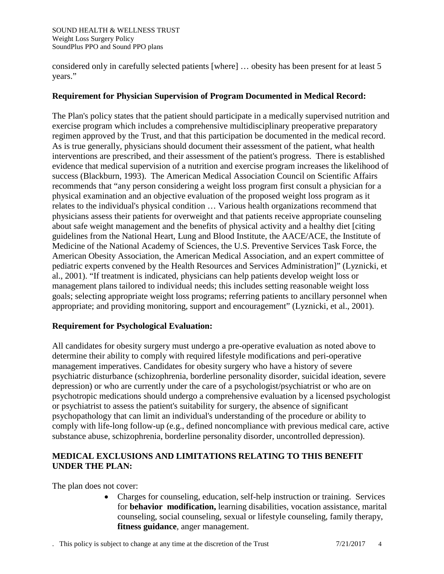considered only in carefully selected patients [where] … obesity has been present for at least 5 years."

#### **Requirement for Physician Supervision of Program Documented in Medical Record:**

The Plan's policy states that the patient should participate in a medically supervised nutrition and exercise program which includes a comprehensive multidisciplinary preoperative preparatory regimen approved by the Trust, and that this participation be documented in the medical record. As is true generally, physicians should document their assessment of the patient, what health interventions are prescribed, and their assessment of the patient's progress. There is established evidence that medical supervision of a nutrition and exercise program increases the likelihood of success (Blackburn, 1993). The American Medical Association Council on Scientific Affairs recommends that "any person considering a weight loss program first consult a physician for a physical examination and an objective evaluation of the proposed weight loss program as it relates to the individual's physical condition … Various health organizations recommend that physicians assess their patients for overweight and that patients receive appropriate counseling about safe weight management and the benefits of physical activity and a healthy diet [citing guidelines from the National Heart, Lung and Blood Institute, the AACE/ACE, the Institute of Medicine of the National Academy of Sciences, the U.S. Preventive Services Task Force, the American Obesity Association, the American Medical Association, and an expert committee of pediatric experts convened by the Health Resources and Services Administration]" (Lyznicki, et al., 2001). "If treatment is indicated, physicians can help patients develop weight loss or management plans tailored to individual needs; this includes setting reasonable weight loss goals; selecting appropriate weight loss programs; referring patients to ancillary personnel when appropriate; and providing monitoring, support and encouragement" (Lyznicki, et al., 2001).

#### **Requirement for Psychological Evaluation:**

All candidates for obesity surgery must undergo a pre-operative evaluation as noted above to determine their ability to comply with required lifestyle modifications and peri-operative management imperatives. Candidates for obesity surgery who have a history of severe psychiatric disturbance (schizophrenia, borderline personality disorder, suicidal ideation, severe depression) or who are currently under the care of a psychologist/psychiatrist or who are on psychotropic medications should undergo a comprehensive evaluation by a licensed psychologist or psychiatrist to assess the patient's suitability for surgery, the absence of significant psychopathology that can limit an individual's understanding of the procedure or ability to comply with life-long follow-up (e.g., defined noncompliance with previous medical care, active substance abuse, schizophrenia, borderline personality disorder, uncontrolled depression).

# **MEDICAL EXCLUSIONS AND LIMITATIONS RELATING TO THIS BENEFIT UNDER THE PLAN:**

The plan does not cover:

• Charges for counseling, education, self-help instruction or training. Services for **behavior modification,** learning disabilities, vocation assistance, marital counseling, social counseling, sexual or lifestyle counseling, family therapy, **fitness guidance**, anger management.